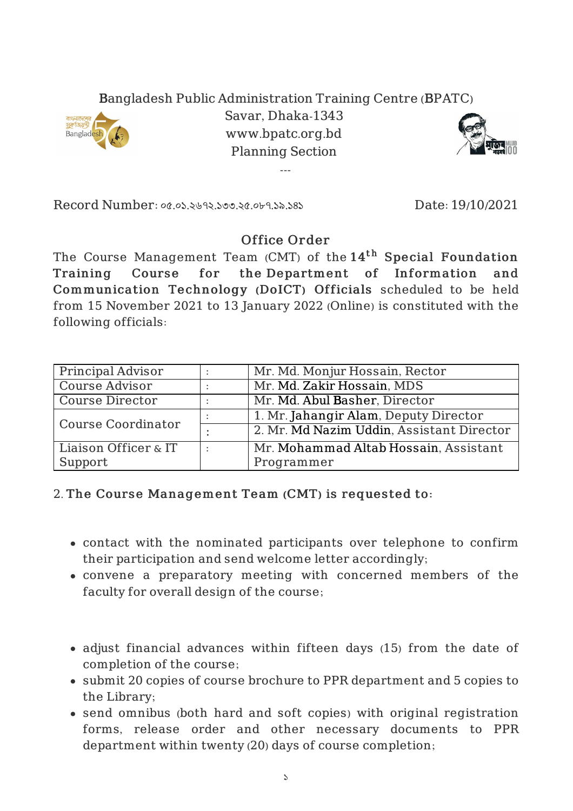## Bangladesh Public Administration Training Centre (BPATC)



Savar, Dhaka-1343 www.bpatc.org.bd Planning Section

---



Record Number: ০৫.০১.২৬৭২.১৩৩.২৫.০৮৭.১৯.১৪১ Date: 19/10/2021

## Office Order

The Course Management Team (CMT) of the  $14^{\rm th}$  Special Foundation Training Course for the Department of Information and Communication Technology (DoICT) Officials scheduled to be held from 15 November 2021 to 13 January 2022 (Online) is constituted with the following officials:

| Principal Advisor         | Mr. Md. Monjur Hossain, Rector            |
|---------------------------|-------------------------------------------|
| Course Advisor            | Mr. Md. Zakir Hossain, MDS                |
| Course Director           | Mr. Md. Abul Basher, Director             |
| <b>Course Coordinator</b> | 1. Mr. Jahangir Alam, Deputy Director     |
|                           | 2. Mr. Md Nazim Uddin, Assistant Director |
| Liaison Officer & IT      | Mr. Mohammad Altab Hossain, Assistant     |
| Support                   | Programmer                                |

## 2. The Course Management Team (CMT) is requested to:

- contact with the nominated participants over telephone to confirm their participation and send welcome letter accordingly;
- convene a preparatory meeting with concerned members of the faculty for overall design of the course;
- adjust financial advances within fifteen days (15) from the date of completion of the course;
- submit 20 copies of course brochure to PPR department and 5 copies to the Library;
- send omnibus (both hard and soft copies) with original registration forms, release order and other necessary documents to PPR department within twenty (20) days of course completion;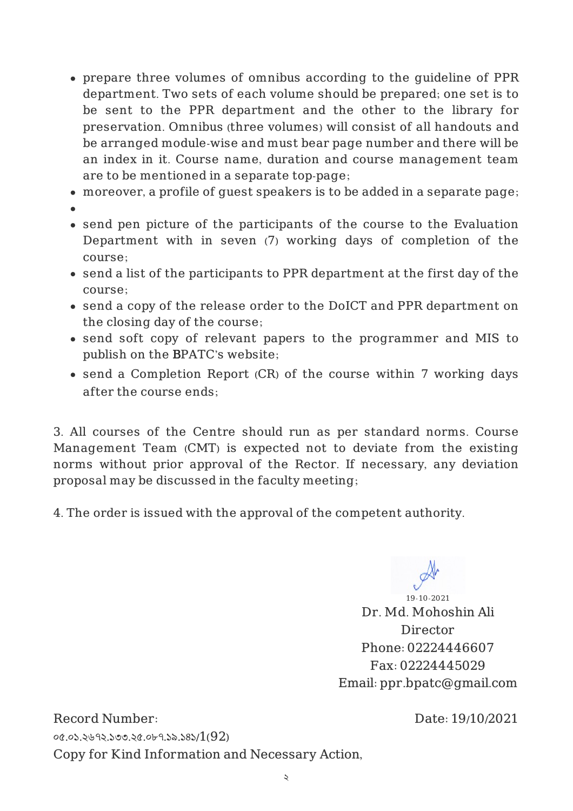- prepare three volumes of omnibus according to the guideline of PPR department. Two sets of each volume should be prepared; one set is to be sent to the PPR department and the other to the library for preservation. Omnibus (three volumes) will consist of all handouts and be arranged module-wise and must bear page number and there will be an index in it. Course name, duration and course management team are to be mentioned in a separate top-page;
- moreover, a profile of guest speakers is to be added in a separate page;
- 
- send pen picture of the participants of the course to the Evaluation Department with in seven (7) working days of completion of the course;
- send a list of the participants to PPR department at the first day of the course;
- send a copy of the release order to the DoICT and PPR department on the closing day of the course;
- send soft copy of relevant papers to the programmer and MIS to publish on the BPATC's website;
- send a Completion Report (CR) of the course within 7 working days after the course ends;

3. All courses of the Centre should run as per standard norms. Course Management Team (CMT) is expected not to deviate from the existing norms without prior approval of the Rector. If necessary, any deviation proposal may be discussed in the faculty meeting;

4. The order is issued with the approval of the competent authority.

19-10-2021 Dr. Md. Mohoshin Ali Director Phone: 02224446607 Fax: 02224445029 Email: ppr.bpatc@gmail.com

Record Number: ০৫.০১.২৬৭২.১৩৩.২৫.০৮৭.১৯.১৪১/1(92) Copy for Kind Information and Necessary Action, Date: 19/10/2021